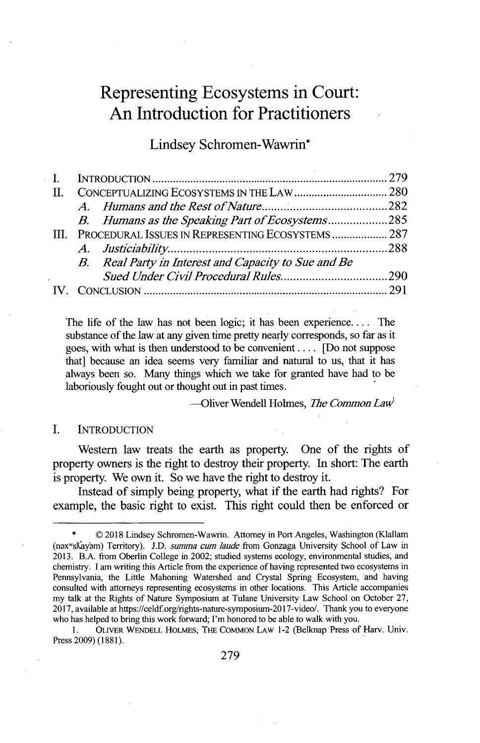# **Representing Ecosystems** in **Court: An Introduction for Practitioners**

Lindsey Schromen-Wawrin\*

| -11. |                                                       |                                                      |  |
|------|-------------------------------------------------------|------------------------------------------------------|--|
|      |                                                       |                                                      |  |
|      |                                                       | B. Humans as the Speaking Part of Ecosystems285      |  |
|      | III. PROCEDURAL ISSUES IN REPRESENTING ECOSYSTEMS 287 |                                                      |  |
|      |                                                       |                                                      |  |
|      |                                                       | B. Real Party in Interest and Capacity to Sue and Be |  |
|      |                                                       |                                                      |  |
|      |                                                       |                                                      |  |

The life of the law has not been logic; it has been experience **....** The substance of the law at any given time pretty nearly corresponds, so far as it goes, with what is then understood to be convenient **....** [Do not suppose that] because an idea seems very familiar and natural to us, that it has always been so. Many things which we take for granted have had to be laboriously fought out or thought out **in** past times.

-Oliver Wendell Holmes, *The Common Law'*

#### **I. INTRODUCTION**

Western law treats the earth as property. One of the rights of property owners is the right to destroy their property. In short: The earth is property. We own it. So we have the right to destroy it.

Instead of simply being property, what if the earth had rights? For example, the basic right to exist. This right could then be enforced or

**1. OLIVER WENDELL HOLMES, THE COMMON LAW** 1-2 (Belknap Press of Harv. Univ. Press **2009) (1881).**

 $©$  2018 Lindsey Schromen-Wawrin. Attorney in Port Angeles, Washington (Klallam (nəxwsxayam) Territory). J.D. summa cum laude from Gonzaga University School of Law in **2013.** B.A. from Oberlin College in 2002; studied systems ecology, environmental studies, and chemistry. **I** am writing this Article from the experience of having represented two ecosystems in Pennsylvania, the Little Mahoning Watershed and Crystal Spring Ecosystem, and having consulted with attorneys representing ecosystems in other locations. This Article accompanies my talk at the Rights of Nature Symposium at Tulane University Law School on October **27, 2017,** available at https://celdf.org/rights-nature-symposium-2017-video/. Thank you to everyone who has helped to bring this work forward; I'm honored to be able to walk with you.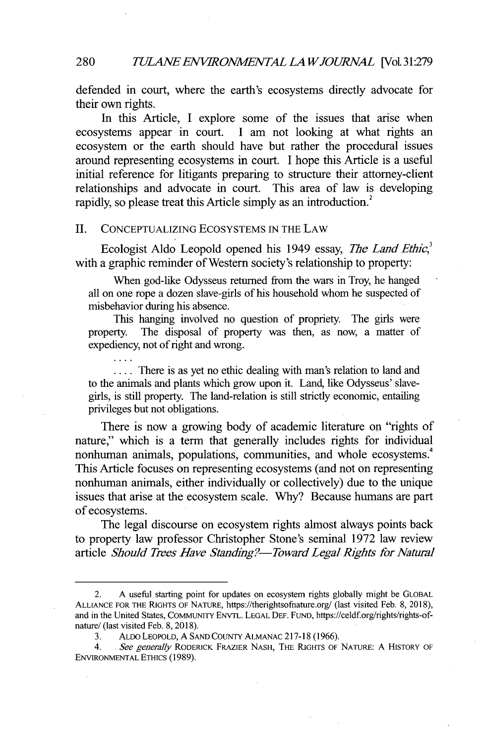defended in court, where the earth's ecosystems directly advocate for their own rights.

In this Article, **I** explore some of the issues that arise when ecosystems appear in court. **I** am not looking at what rights an ecosystem or the earth should have but rather the procedural issues around representing ecosystems in court. **I** hope this Article is a useful initial reference for litigants preparing to structure their attorney-client relationships and advocate in court. This area of law is developing rapidly, so please treat this Article simply as an introduction.

#### **II. CONCEPTUALIZING** ECOSYSTEMS **IN** THE LAW

Ecologist Aldo Leopold opened his 1949 essay, *The Land Ethic*,<sup>3</sup> with a graphic reminder of Western society's relationship to property:

When god-like Odysseus returned from the wars in Troy, he hanged all on one rope a dozen slave-girls of his household whom he suspected of misbehavior during his absence.

This hanging involved no question of propriety. The girls were property. The disposal of property was then, as now, a matter of expediency, not of right and wrong.

.... There is as yet no ethic dealing with man's relation to land and to the animals and plants which grow upon it. Land, like Odysseus' slavegirls, is still property. The land-relation is still strictly economic, entailing privileges but not obligations.

There is now a growing body of academic literature on "rights of nature," which is a term that generally includes rights for individual nonhuman animals, populations, communities, and whole ecosystems. This Article focuses on representing ecosystems (and not on representing nonhuman animals, either individually or collectively) due to the unique issues that arise at the ecosystem scale. **Why?** Because humans are part of ecosystems.

The legal discourse on ecosystem rights almost always points back to property law professor Christopher Stone's seminal **1972** law review article *Should Trees Have Standing?—Toward Legal Rights for Natural* 

<sup>2.</sup> **A** useful starting point for updates on ecosystem rights globally might be GLOBAL **ALLIANCE** FOR THE **RIGHTS** OF NATURE, https://therightsoffiature.org/ (last visited Feb. **8, 2018),** and in the United States, COMMUNITY ENVTL. **LEGAL DEF.** FUND, https://celdf.org/rights/rights-ofnature/ (last visited Feb. **8, 2018).**

**<sup>3.</sup>** ALDO LEOPOLD, **A SAND** CouNTY ALMANAC **217-18 (1966).**

<sup>4.</sup> *. See generally* RODERICK FRAZIER **NASH,** THE **RIGHTS** OF NATURE: **A** HISTORY OF **ENVIRONMENTAL** ETHICS **(1989).**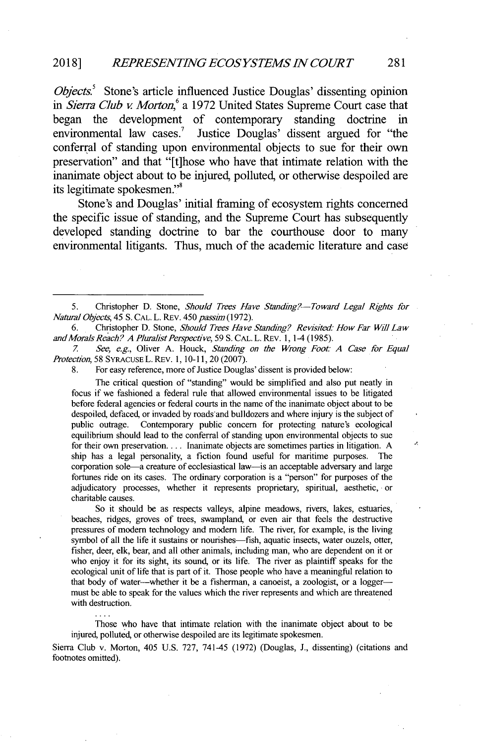*Objects*<sup>5</sup> Stone's article influenced Justice Douglas' dissenting opinion *in Sierra Club v Morton,<sup>6</sup>a* **1972** United States Supreme Court case that began the development of contemporary standing doctrine in environmental law cases.<sup>7</sup> Justice Douglas' dissent argued for "the conferral of standing upon environmental objects to sue for their own preservation" and that "[t]hose who have that intimate relation with the inanimate object about to be injured, polluted, or otherwise despoiled are its legitimate spokesmen."'

Stone's and Douglas' initial framing of ecosystem rights concerned the specific issue of standing, and the Supreme Court has subsequently developed standing doctrine to bar the courthouse door to many environmental litigants. Thus, much of the academic literature and case

**6.** Christopher **D.** Stone, *Should Trees Have Standng? Revisited: How Far Will Law and Morals Reach? A Pluralist Perspective,* **59 S. CAL.** L. REv. **1,** 1-4 **(1985).**

*7 See, e.g,* Oliver **A.** Houck, *Standing on the Wrong Foot: A Case for Equal Protection,* **58 SYRACUSE** L. REv. **1, 10-11,** 20 **(2007).**

**8.** For easy reference, more of Justice Douglas' dissent is provided below:

The critical question of "standing" would be simplified and also put neatly in focus if we fashioned a federal rule that allowed environmental issues to be litigated before federal agencies or federal courts in the name of the inanimate object about to be despoiled, defaced, or invaded **by** roads'and bulldozers and where injury is the subject of Contemporary public concern for protecting nature's ecological equilibrium should lead to the conferral of standing upon environmental objects to sue for their own preservation.... Inanimate objects are sometimes parties in litigation. **A** ship has a legal personality, a fiction found useful for maritime purposes. The corporation sole-a creature of ecclesiastical law-is an acceptable adversary and large fortunes ride on its cases. The ordinary corporation is a "person" for purposes of the adjudicatory processes, whether it represents proprietary, spiritual, aesthetic, or charitable causes.

So it should be as respects valleys, alpine meadows, rivers, lakes, estuaries, beaches, ridges, groves of trees, swampland, or even air that feels the destructive pressures of modem technology and modem life. The river, for example, is the living symbol of all the life it sustains or nourishes—fish, aquatic insects, water ouzels, otter, fisher, deer, elk, bear, and all other animals, including man, who are dependent on it or who enjoy it for its sight, its sound, or its life. The river as plaintiff speaks for the ecological unit of life that is part of it. Those people who have a meaningful relation to that body of water-whether it be a fisherman, a canoeist, a zoologist, or a loggermust **be** able to speak for the values which the river represents and which are threatened with destruction.

Those who have that intimate relation with the inanimate object about to be injured, polluted, or otherwise despoiled are its legitimate spokesmen.

Sierra Club v. Morton, 405 **U.S. 727,** 741-45 **(1972)** (Douglas, **J.,** dissenting) (citations and footnotes omitted).

Ā

*<sup>5.</sup>* Christopher **D.** Stone, *Should Trees Have Standing?-Toward Legal Rights for Natural Objects,* 45 **S. CAL.** L. REv. *450 passhn* **(1972).**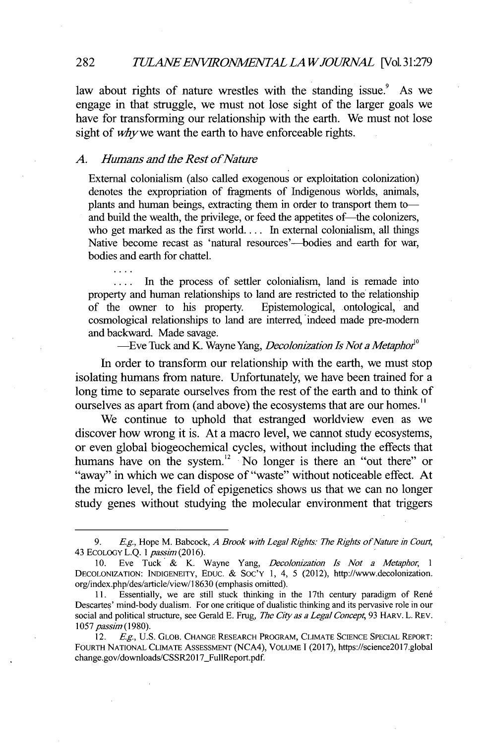#### *TULANEENVWRONMENTAL LAWJOURIAL* [Vol.31:279 **28 2**

law about rights of nature wrestles with the standing issue.' As we engage in that struggle, we must not lose sight of the larger goals we have for transforming our relationship with the earth. We must not lose sight of *whywe* want the earth to have enforceable rights.

### *A. Humans and the Rest ofNature*

External colonialism (also called exogenous or exploitation colonization) denotes the expropriation of fragments of Indigenous worlds, animals, plants and human beings, extracting them in order to transport them toand build the wealth, the privilege, or feed the appetites of—the colonizers, who get marked as the first **world....** In external colonialism, all things Native become recast as 'natural resources'—bodies and earth for war, bodies and earth for chattel.

**....** In the process of settler colonialism, land is remade into property and human relationships to land are restricted to the relationship<br>of the owner to his property. Epistemological, ontological, and Epistemological, ontological, and cosmological relationships to land are interred, indeed made pre-modern and backward. Made savage.

-Eve Tuck and K. Wayne Yang, *Decolonization Is Not a Metaphor<sup>0</sup>*

In order to transform our relationship with the earth, we must stop isolating humans from nature. Unfortunately, we have been trained for a long time to separate ourselves from the rest of the earth and to think of ourselves as apart from (and above) the ecosystems that are our homes.''

We continue to uphold that estranged worldview even as we discover how wrong it is. At a macro level, we cannot study ecosystems, or even global biogeochemical cycles, without including the effects that humans have on the system.<sup>12</sup> No longer is there an "out there" or "away" in which we can dispose of "waste" without noticeable effect. At the micro level, the field of epigenetics shows us that we can no longer study genes without studying the molecular environment that triggers

**<sup>9.</sup> Eg.,** Hope M. Babcock, *A Brook with Legal Rights: The Rights of Nature in Cour* 43 **ECOLOGY L.Q.** *I passim (2016).*

**<sup>10.</sup>** Eve Tuck **&** K. Wayne Yang, *Decolonization Is Not a Metaphor,* <sup>1</sup> **DECOLONIZATION: INDIGENEITY, EDUC. &** Soc'Y **1,** 4, *5* (2012), http://www.decolonization. org/index.php/des/article/view/1 **8630** (emphasis omitted).

**<sup>11.</sup>** Essentially, we are still stuck thinking in the 17th century paradigm of Ren6 Descartes' mind-body dualism. For one critique of dualistic thinking and its pervasive role in our social and political structure, see Gerald E. Frug, *The City as a Legal Concept*, 93 HARV. L. REV. *1057 passim (1980).*

<sup>12.</sup> *Eg,* **U.S. GLOB. CHANGE RESEARCH PROGRAM, CLIMATE SCIENCE SPECIAL REPORT: FOURTH NATIONAL** CLIMATE **ASSESSMENT (NCA4), VOLUME 1(2017),** https://science20l7.global change.gov/downloads/CSSR2017\_FullReport.pdf.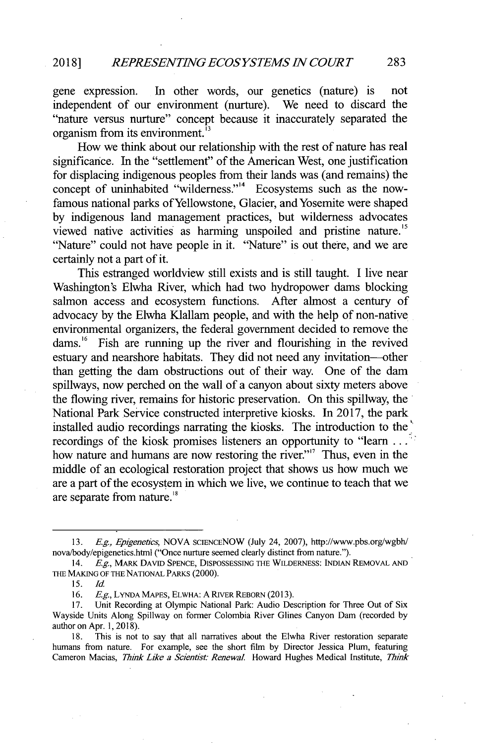gene expression. In other words, our genetics (nature) is not independent of our environment (nurture). We need to discard the "nature versus nurture" concept because it inaccurately separated the organism from its environment."

How we think about our relationship with the rest of nature has real significance. In the "settlement" of the American West, one justification for displacing indigenous peoples from their lands was (and remains) the concept of uninhabited "wilderness."<sup>14</sup> Ecosystems such as the nowfamous national parks of Yellowstone, Glacier, and Yosemite were shaped **by** indigenous land management practices, but wilderness advocates viewed native activities as harming unspoiled and pristine nature." "Nature" could not have people in it. "Nature" is out there, and we are certainly not a part of it.

This estranged worldview still exists and is still taught. **I** live near Washington's Elwha River, which had two hydropower dams blocking salmon access and ecosystem functions. After almost a century of advocacy **by** the Elwha Klallam people, and with the help of non-native environmental organizers, the federal government decided to remove the dams.<sup>16</sup> Fish are running up the river and flourishing in the revived estuary and nearshore habitats. They did not need any invitation-other than getting the dam obstructions out of their way. One of the dam spillways, now perched on the wall of a canyon about sixty meters above the flowing river, remains for historic preservation. On this spillway, the National Park Service constructed interpretive kiosks. In **2017,** the park installed audio recordings narrating the kiosks. The introduction to the" recordings of the kiosk promises listeners an opportunity to "learn **. .** how nature and humans are now restoring the river."<sup>17</sup> Thus, even in the middle of an ecological restoration project that shows **us** how much we are a part of the ecosystem in which we live, we continue to teach that we are separate from nature."

**18.** This is not to say that all narratives about the Elwha River restoration separate humans from nature. For example, see the short film **by** Director Jessica Plum, featuring Cameron Macias, *Thmk Like a Sciendst: Renewal.* Howard Hughes Medical Institute, *Think*

*<sup>13.</sup> Eg., Epigeneics,* **NOVA SCIENCENOW** (July 24, **2007),** http://www.pbs.org/wgbh/ nova/body/epigenetics.html ("Once nurture seemed clearly distinct from nature.").

*<sup>14.</sup> Eg.,* **MARK DAVID SPENCE, DISPOSSESSING THE** WILDERNESS: **INDIAN REMOVAL AND THE MAKING OF THE NATIONAL PARKS** (2000).

**<sup>15.</sup>** *Id.*

**<sup>16.</sup>** *Eg,* **LYNDA MAPES, ELWHA: A RIVER REBORN (2013).**

Unit Recording at Olympic National Park: Audio Description for Three Out of Six Wayside Units Along Spillway on former Colombia River Glines Canyon Dam (recorded **by** author on Apr. **1, 2018).**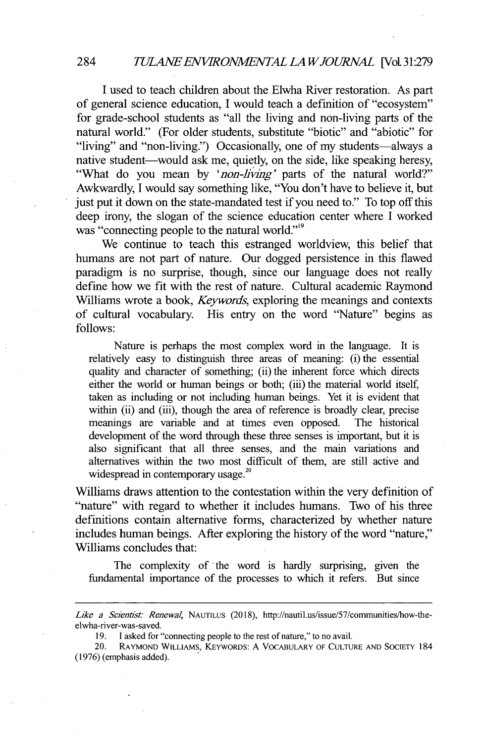**I** used to teach children about the Elwha River restoration. As part of general science education, **I** would teach a definition of "ecosystem" for grade-school students as "all the living and non-living parts of the natural world." (For older students, substitute "biotic" and "abiotic" for "living" and "non-living.") Occasionally, one of my students—always a native student—would ask me, quietly, on the side, like speaking heresy, "What do you mean **by** *'non-living'* parts of the natural world?" Awkwardly, **I** would say something like, "You don't have to believe it, but just put it down on the state-mandated test if you need to." To top off this deep irony, the slogan of the science education center where **I** worked was "connecting people to the natural world."<sup>19</sup>

We continue to teach this estranged worldview, this belief that humans are not part of nature. Our dogged persistence in this flawed paradigm is no surprise, though, since our language does not really define how we fit with the rest of nature. Cultural academic Raymond Williams wrote a book, *Keywords,* exploring the meanings and contexts **of** cultural vocabulary. His entry on the word "Nature" begins as **follows:**

Nature is perhaps the most complex word in the language. It is relatively easy to distinguish three areas of meaning: (i) the essential quality and character of something; (ii) the inherent force which directs either the world or human beings or both; (iii) the material world itself, taken as including or not including human beings. Yet it is evident that within (ii) and (iii), though the area of reference is broadly clear, precise meanings are variable and at times even opposed. The historical development of the word through these three senses is important, but it is also significant that all three senses, and the main variations and alternatives within the two most difficult of them, are still active and widespread in contemporary usage.<sup>20</sup>

Williams draws attention to the contestation within the very definition of "nature" with regard to whether it includes humans. Two of his three definitions contain alternative forms, characterized **by** whether nature includes human beings. After exploring the history of the word "nature," Williams concludes that:

The complexity of the word is hardly surprising, given the fundamental importance of the processes to which it refers. But since

*Like a Scientist: Renewal,* **NAUTILUS (2018),** http://nautil.us/issue/57/communities/how-theelwha-river-was-saved.

**<sup>19.</sup>** I asked for "connecting people to the rest of nature," to no avail.

<sup>20.</sup> **RAYMOND WILLIAMS, KEYWORDS: A** VOCABULARY **OF CULTURE AND** SOCIETY 184 **(1976)** (emphasis added).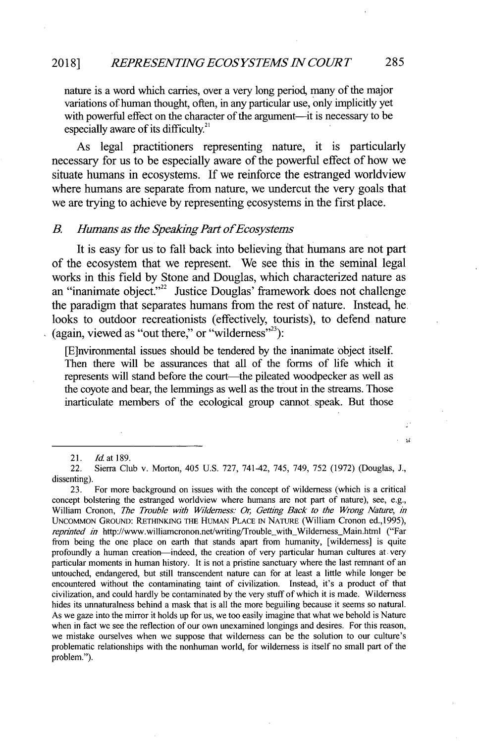nature is a word which carries, over a very long period, many of the major variations of human thought, often, in any particular use, only implicitly yet with powerful effect on the character of the argument—it is necessary to be especially aware of its difficulty.<sup>21</sup>

As legal practitioners representing nature, it is particularly necessary for us to be especially aware of the powerful effect of how we situate humans in ecosystems. **If** we reinforce the estranged worldview where humans are separate from nature, we undercut the very goals that we are trying to achieve **by** representing ecosystems in the first place.

#### *B. Humans as the Speaking Part ofEcosystems*

It is easy for us to fall back into believing that humans are not part of the ecosystem that we represent. We see this in the seminal legal works in this field **by** Stone and Douglas, which characterized nature as an "inanimate object."<sup>22</sup> Justice Douglas' framework does not challenge the paradigm that separates humans from the rest of nature. Instead, he. looks to outdoor recreationists (effectively, tourists), to defend nature (again, viewed as "out there," or "wilderness"):

[E]nvironmental issues should be tendered **by** the inanimate object itself. Then there will be assurances that all of the forms of life which it represents will stand before the court—the pileated woodpecker as well as the coyote and bear, the lemmings as well as the trout in the streams. Those inarticulate members of the ecological group cannot speak. But those

 $\mathbf{M}$ 

*<sup>21.</sup> Id at 189.*

<sup>22.</sup> Sierra Club v. Morton, 405 **U.S. 727,** 741-42, *745,* 749, **752 (1972)** (Douglas, **J.,** dissenting).

**<sup>23.</sup>** For more background on issues with the concept of wilderness (which is a critical concept bolstering the estranged worldview where humans are not part of nature), see, e.g., William Cronon, *The Trouble with Wilderness: Or, Getting Back to the Wrong Nature, in* UNCOMMoN GROUND: RETHINKING THE HUMAN **PLACE** IN **NATURE** (William Cronon ed.,1995), *reprinted in* http://www.williamcronon.net/writing/Trouble\_with\_Wilderness\_Main.html ("Far from being the one place on earth that stands apart from humanity, [wilderness] is quite profoundly a human creation-indeed, the creation of very particular human cultures at very particular moments in human history. It is not a pristine sanctuary where the last remnant of an untouched, endangered, but still transcendent nature can for at least a little while longer be encountered without the contaminating taint of civilization. Instead, it's a product of that civilization, and could hardly be contaminated **by** the very stuff of which it is made. Wilderness hides its unnaturalness behind a mask that is all the more beguiling because it seems so natural. As we gaze into the mirror it holds up for us, we too easily imagine that what we behold is Nature when in fact we see the reflection of our own unexamined longings and desires. For this reason, we mistake ourselves when we suppose that wilderness can be the solution to our culture's problematic relationships with the nonhuman world, for wilderness is itself no small part of the problem.").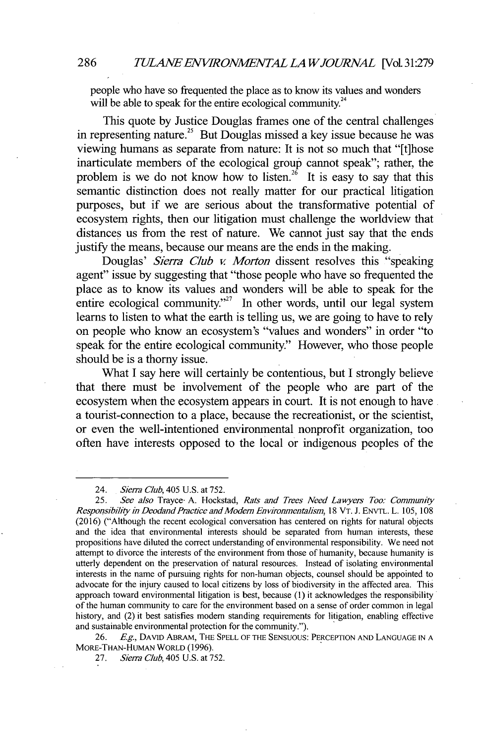people who have so frequented the place as to know its values and wonders will be able to speak for the entire ecological community.<sup>24</sup>

This quote **by** Justice Douglas frames one of the central challenges in representing nature.<sup>25</sup> But Douglas missed a key issue because he was viewing humans as separate from nature: It is not so much that "[t]hose inarticulate members of the ecological group cannot speak"; rather, the problem is we do not know how to listen.<sup>26</sup> It is easy to say that this semantic distinction does not really matter for our practical litigation purposes, but if we are serious about the transformative potential of ecosystem rights, then our litigation must challenge the worldview that distances us from the rest of nature. We cannot just say that the ends justify the means, because our means are the ends in the making.

Douglas' *Sierra Club v. Morton* dissent resolves this "speaking agent" issue **by** suggesting that "those people who have so frequented the place as to know its values and wonders will be able to speak for the entire ecological community."<sup>27</sup> In other words, until our legal system learns to listen to what the earth is telling us, we are going to have to rely on people who know an ecosystem's "values and wonders" in order "to speak for the entire ecological community." However, who those people should be is a thorny issue.

What I say here will certainly be contentious, but I strongly believe that there must be involvement of the people who are part of the ecosystem when the ecosystem appears in court. It is not enough to have a tourist-connection to a place, because the recreationist, or the scientist, or even the well-intentioned environmental nonprofit organization, too often have interests opposed to the local or indigenous peoples of the

**26. Eg.,** DAvID ABRAM, **THE SPELL** OF THE **SENSUOUS:** PERCEPTION **AND LANGUAGE IN A** MORE-THAN-HUMAN WORLD **(1996).**

<sup>24.</sup> *Sierra Club,* 405 **U.S.** at **752.**

**<sup>25.</sup>** *See also* Trayce- **A.** Hockstad, *Rats and Trees Need Lawyers Too; Community Responsibihty in Deodand Practice and Modern Environmentalism,* **18** VT. **J.** ENvTL. L. **105, 108 (2016)** ("Although the recent ecological conversation has centered on rights for natural objects and the idea that environmental interests should be separated from human interests, these propositions have diluted the correct understanding of environmental responsibility. We need not attempt to divorce the interests of the environment from those of humanity, because humanity is utterly dependent on the preservation of natural resources. Instead of isolating environmental interests in the name of pursuing rights for non-human objects, counsel should be appointed to advocate for the injury caused to local citizens **by** loss of biodiversity in the affected area. This approach toward environmental litigation is best, because **(1)** it acknowledges the responsibility of the human community to care for the environment based on a sense of order common in legal history, and (2) it best satisfies modem standing requirements for litigation, enabling effective and sustainable environmental protection for the community.").

**<sup>27.</sup>** *Sierra Club,* 405 **U.S.** at **752.**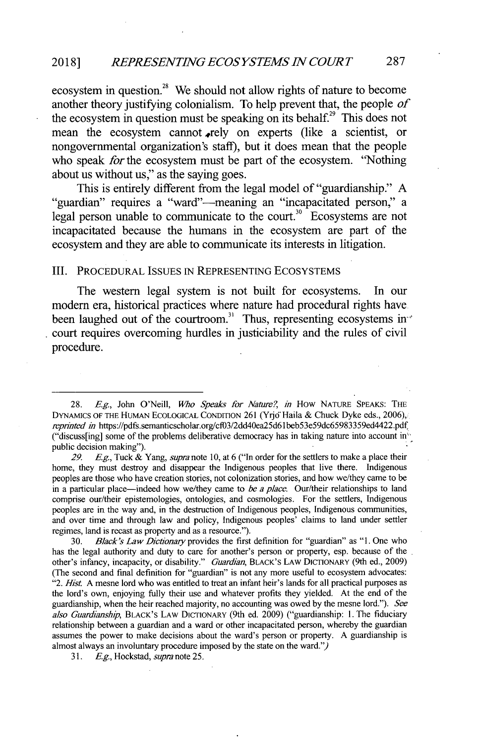### **2018]** *REPRESENTING ECOSYSTEMS IN COURT* **287**

ecosystem in question.<sup>28</sup> We should not allow rights of nature to become another theory justifying colonialism. To help prevent that, the people *of* the ecosystem in question must be speaking on its behalf.<sup>29</sup> This does not mean the ecosystem cannot rely on experts (like a scientist, or nongovernmental organization's staff), but it does mean that the people who speak *for* the ecosystem must be part of the ecosystem. "Nothing about us without us," as the saying goes.

This is entirely different from the legal model of "guardianship." **A** "guardian" requires a "ward"-meaning an "incapacitated person," a legal person unable to communicate to the court.<sup>30</sup> Ecosystems are not incapacitated because the humans in the ecosystem are part of the ecosystem and they are able to communicate its interests in litigation.

#### III. **PROCEDURAL ISSUES IN REPRESENTING** ECOSYSTEMS

The western legal system is not built for ecosystems. In our modern era, historical practices where nature had procedural rights have been laughed out of the courtroom.<sup>31</sup> Thus, representing ecosystems in court requires overcoming hurdles in justiciability and the rules of civil procedure.

**30.** *Black's Law Dictionary* provides the first definition for "guardian" as **"1.** One who has the legal authority and duty to care for another's person or property, esp. because of the other's infancy, incapacity, or disability." *Guardian,* **BLACK'S LAw DICTIONARY** (9th ed., **2009)** (The second and final definition for "guardian" is not any more useful to ecosystem advocates: *"2. Hist.* **A** mesne lord who was entitled to treat an infant heir's lands for all practical purposes as the lord's own, enjoying fully their use and whatever profits they yielded. At the end of the guardianship, when the heir reached majority, no accounting was owed **by** the mesne lord."). *See also Guardianship,* **BLACK'S LAW DICTIONARY** (9th ed. **2009)** ("guardianship: **1.** The fiduciary relationship between a guardian and a ward or other incapacitated person, whereby the guardian assumes the power to make decisions about the ward's person or property. **A** guardianship is almost always an involuntary procedure imposed **by** the state on the ward.")

**31. Eg.,** *Hockstad, supra* note **25.**

*<sup>28.</sup>* **Eg,** John O'Neill, *Who Speaks for Nature?, in* How **NATURE SPEAKS: THE DYNAMICS OF THE HUMAN ECOLOGICAL CONDITION 261** (Yrjo'Haila **&** Chuck **Dyke** eds., **2006),** *reprinted in* https://pdfs.semanticscholar.org/cf03/2dd40ea25d61beb53e59dc65983359ed4422.pdf ("discuss[ing] some of the problems deliberative democracy has in taking nature into account in" public decision making").

*<sup>29.</sup> Eg.,* Tuck **&** *Yang, supra note* **10,** at **6** ("In order for the settlers to make a place their home, they must destroy and disappear the Indigenous peoples that live there. Indigenous peoples are those who have creation stories, not colonization stories, and how we/they came to be in a particular place-indeed how we/they came to *be a place.* Our/their relationships to land comprise our/their epistemologies, ontologies, and cosmologies. For the settlers, Indigenous peoples are in the way and, in the destruction of Indigenous peoples, Indigenous communities, and over time and through law and policy, Indigenous peoples' claims to land under settler regimes, land is recast as property and as a resource.").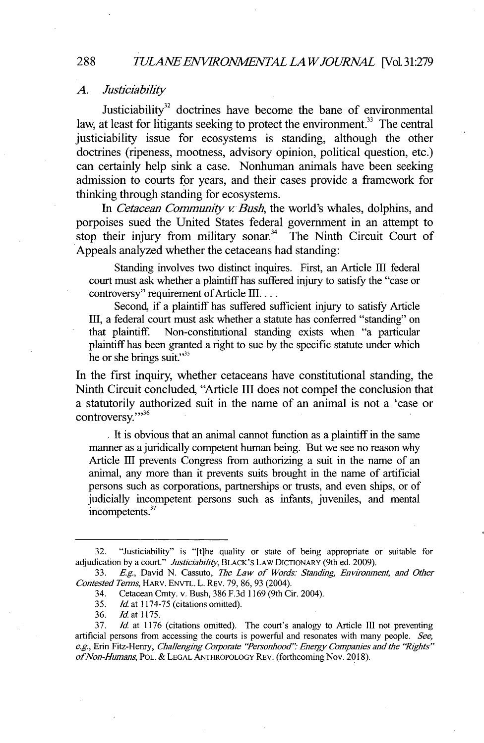#### *A. Justiciability*

Justiciability $32$  doctrines have become the bane of environmental law, at least for litigants seeking to protect the environment.<sup>33</sup> The central justiciability issue for ecosystems is standing, although the other doctrines (ripeness, mootness, advisory opinion, political question, etc.) can certainly help sink a case. Nonhuman animals have been seeking admission to courts for years, and their cases provide a framework for thinking through standing for ecosystems.

In *Cetacean Community v. Bush*, the world's whales, dolphins, and porpoises sued the United States federal government in an attempt to stop their injury from military sonar.<sup>34</sup> The Ninth Circuit Court of Appeals analyzed whether the cetaceans had standing:

Standing involves two distinct inquires. First, an Article **Ell** federal court must ask whether a plaintiff has suffered injury to satisfy the "case or controversy" requirement of Article III. . . .

Second, if a plaintiff has suffered sufficient injury to satisfy Article **Ell,** a federal court must ask whether a statute has conferred "standing" on that plaintiff. Non-constitutional standing exists when "a particular plaintiff has been granted a right to sue **by** the specific statute under which he or she brings suit."<sup>35</sup>

In the first inquiry, whether cetaceans have constitutional standing, the Ninth Circuit concluded, "Article III does not compel the conclusion that a statutorily authorized suit in the name of an animal is not a 'case or controversy.""<sup>36</sup>

**.** It is obvious that an animal cannot function as a plaintiff **in** the same manner as a juridically competent human being. But we see no reason why Article **El** prevents Congress from authorizing a suit in the name of an animal, any more than it prevents suits brought **in** the name of artificial persons such as corporations, partnerships or trusts, and even ships, or of judicially incompetent persons such as infants, juveniles, and mental **<sup>37</sup>** incompetents.

#### **288**

**<sup>32.</sup>** "Justiciability" is "[t]he quality or state of being appropriate or suitable for adjudication **by** a court." *Justiciability,* BLACK'S LAW DICTIONARY (9th ed. **2009).**

**<sup>33.</sup>** *Eg,* David **N.** Cassuto, *The Law of Words: Standing, Environment, and Other Contested Terms,* HARv. ENVTL. L. REv. **79, 86, 93** (2004).

<sup>34.</sup> Cetacean Cmty. v. Bush, **386 F.3d 1169** (9th Cir. 2004).

**<sup>35.</sup>** *Id.* at **1174-75** (citations omitted).

**<sup>36.</sup>** *Id.* at **1175.**

**<sup>37.</sup>** *Id.* at **1176** (citations omitted). The court's analogy to Article III not preventing artificial persons from accessing the courts is powerful and resonates with many people. *See,* **e.g.,** Erin Fitz-Henry, *Challenging Coiporate "Personhood" Energy Companies and the 'Rghts" ofNon-Humans, POL.* **& LEGAL ANTHROPOLOGY** REV. (forthcoming Nov. **2018).**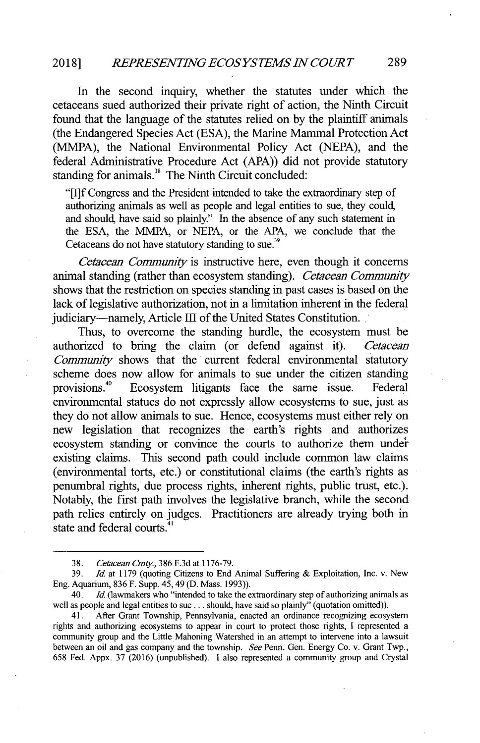## *REPRESENTING ECOSYSTEMS IN COURT* **2018] 289**

In the second inquiry, whether the statutes under which the cetaceans sued authorized their private right of action, the Ninth Circuit found that the language of the statutes relied on **by** the plaintiff animals (the Endangered Species Act **(ESA),** the Marine Mammal Protection Act **(MMPA),** the National Environmental Policy Act **(NEPA),** and the federal Administrative Procedure Act **(APA))** did not provide statutory standing for animals.<sup>38</sup> The Ninth Circuit concluded:

*"[1]f* Congress and the President intended to take the extraordinary step of authorizing animals as well as people and legal entities to sue, they could, and should, have said so plainly." In the absence of any such statement in the **ESA,** the MMPA, or **NEPA,** or the **APA,** we conclude that the Cetaceans do not have statutory standing to sue.<sup>39</sup>

*Cetacean Community* is instructive here, even though it concerns animal standing (rather than ecosystem standing). *Cetacean Community* shows that the restriction on species standing in past cases is based on the lack of legislative authorization, not in a limitation inherent in the federal judiciary—namely, Article III of the United States Constitution.

Thus, to overcome the standing hurdle, the ecosystem must be authorized to bring the claim (or defend against it). *Cetacean Conmunity* shows that the current federal environmental statutory scheme does now allow for animals to sue under the citizen standing provisions.<sup>40</sup> Ecosystem litigants face the same issue. Federal environmental statues do not expressly allow ecosystems to sue, just as they do not allow animals to sue. Hence, ecosystems must either rely on new legislation that recognizes the earth's rights and authorizes ecosystem standing or convince the courts to authorize them under existing claims. This second path could include common law claims (environmental torts, etc.) or constitutional claims (the earth's rights as penumbral rights, due process rights, inherent rights, public trust, etc.). Notably, the first path involves the legislative branch, while the second path relies entirely on judges. Practitioners are already trying both in state and federal courts.<sup>4</sup>  $^{\prime}$ 

**<sup>38.</sup>** *Cetacean Cmty.,* **386 F.3d** at **1176-79.**

**<sup>39.</sup>** *Id. at* **1179** (quoting Citizens to End Animal Suffering *&* Exploitation, Inc. v. New Eng. Aquarium, **836** F. Supp. *45,* 49 **(D.** Mass. **1993)).**

<sup>40.</sup> *Id* (lawmakers who "intended to take the extraordinary step of authorizing animals as well as people and legal entities to sue **...** should, have said so plainly" (quotation omitted)).

<sup>41.</sup> After Grant Township, Pennsylvania, enacted an ordinance recognizing ecosystem rights and authorizing ecosystems to appear in court to protect those rights, **I** represented a community group and the Little Mahoning Watershed in an attempt to intervene into a lawsuit between an oil and gas company and the township. *See* Penn. Gen. Energy Co. v. Grant Twp., *658* Fed. Appx. **37 (2016)** (unpublished). **I** also represented a community group and Crystal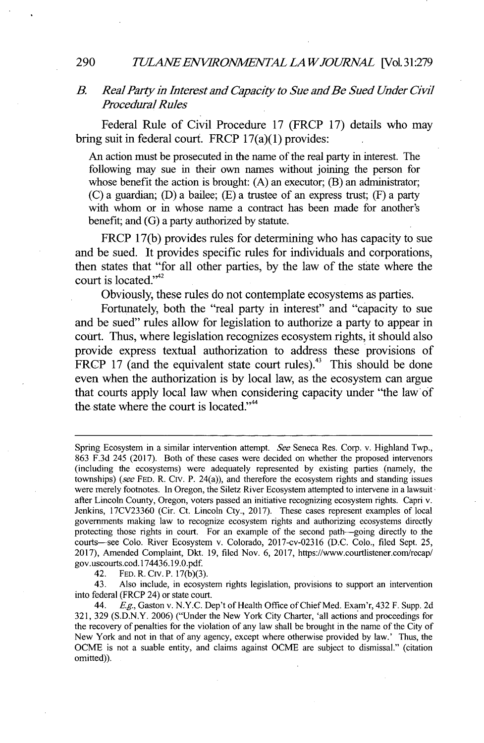#### *TULANEENVIRONMENTALLAWJOURAAL* [VoL31:279 **290**

### *B. Real Party in Interest and Capacity to Sue and Be Sued Under Civil Procedural Rules*

Federal Rule of Civil Procedure **17** (FRCP **17)** details who may bring suit in federal court. FRCP 17(a)(1) provides:

An action must be prosecuted **in** the name of the real party **in** interest. The following may sue in their own names without joining the person for whose benefit the action is brought: **(A)** an executor; (B) an administrator; **(C)** a guardian; **(D)** a bailee; **(E)** a trustee of an express trust; (F) a party with whom or in whose name a contract has been made for another's benefit; and **(G)** a party authorized **by** statute.

FRCP **17(b)** provides rules for determining who has capacity to sue and be sued. It provides specific rules for individuals and corporations, then states that "for all other parties, **by** the law of the state where the court is located."<sup>42</sup>

Obviously, these rules do not contemplate ecosystems as parties.

Fortunately, both the "real party in interest" and "capacity to sue and be sued" rules allow for legislation to authorize a party to appear in court. Thus, where legislation recognizes ecosystem rights, it should also provide express textual authorization to address these provisions of FRCP 17 (and the equivalent state court rules).<sup>43</sup> This should be done even when the authorization is **by** local law, as the ecosystem can argue that courts apply local law when considering capacity under "the law of the state where the court is located."<sup>44</sup>

42. **FED.** R. Civ. P. **17(b)(3).**

43. Also include, in ecosystem rights legislation, provisions to support an intervention into federal (FRCP 24) or state court.

44. **Eg,** Gaston v. **N.Y.C.** Dep't of Health Office of Chief Med. Exam'r, 432 F. Supp. **2d 321, 329 (S.D.N.Y. 2006)** ("Under the New York City Charter, 'all actions and proceedings for the recovery of penalties for the violation of any law shall **be** brought in the name of the City of New York and not in that of any agency, except where otherwise provided **by** law.' Thus, the **OCME** is not a suable entity, and claims against **OCME** are subject to dismissal." (citation omitted)).

Spring Ecosystem in a similar intervention attempt. *See* Seneca Res. Corp. v. Highland Twp., **863 F.3d** 245 **(2017).** Both of these cases were decided on whether the proposed intervenors (including the ecosystems) were adequately represented **by** existing parties (namely, the townships) (see **FED.** R. Civ. P. 24(a)), and therefore the ecosystem rights and standing issues were merely footnotes. In Oregon, the Siletz River Ecosystem attempted to intervene in a lawsuit after Lincoln County, Oregon, voters passed an initiative recognizing ecosystem rights. Capri v. Jenkins, **17CV23360** (Cir. Ct. Lincoln Cty., **2017).** These cases represent examples of local governments making law to recognize ecosystem rights and authorizing ecosystems directly protecting those rights in court. For an example of the second path-going directly to the courts-see Colo. River Ecosystem v. Colorado, 2017-cv-02316 **(D.C.** Colo., filed Sept. **25, 2017),** Amended Complaint, Dkt. **19, filed** Nov. **6, 2017,** https://www.courtlistener.com/recap/ gov.uscourts.cod. **174436.19.0.pdf.**